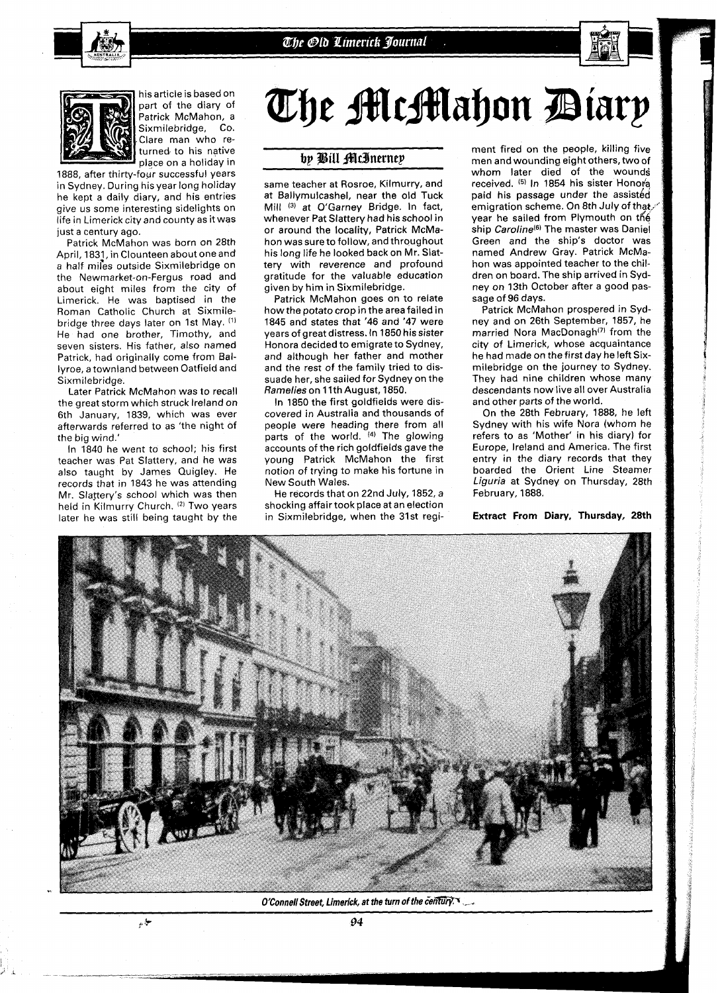



his article is based on part of the diary of Patrick McMahon, a Sixmilebridge, CO. Clare man who returned to his native place on a holiday in

1888, after thirty-four successful years in Sydney. During his year long holiday he kept a daily diary, and his entries give us some interesting sidelights on life in Limerick city and county as it was just a century ago.

Patrick McMahon was born on 28th April, 1831, in Clounteen about one and a half miles outside Sixmilebridge on the Newmarket-on-Fergus road and about eight miles from the city of Limerick. He was baptised in the Roman Catholic Church at Sixmilebridge three days later on 1st May. (1) He had one brother, Timothy, and seven sisters. His father, also named Patrick, had originally come from Ballyroe, a townland between Oatfield and Sixmilebridge.

Later Patrick McMahon was to recall the great storm which struck Ireland on 6th January, 1839, which was ever afterwards referred to as 'the night of the big wind.'

In 1840 he went to school; his first teacher was Pat Slattery, and he was also taught by James Quigley. He records that in 1843 he was attending Mr. Slattery's school which was then held in Kilmurry Church. **12)** Two years later he was still being taught by the

نيا.<br>موا

# The McMahon Diarp

# by Bill McInerney

same teacher at Rosroe, Kilmurry, and at Ballymulcashel, near the old Tuck Mill (3) at O'Garney Bridge. In fact, whenever Pat Slattery had his school in or around the locality, Patrick McMahon was sure to follow, and throughout his long life he looked back on Mr. Slattery with reverence and profound gratitude for the valuable education given by him in Sixmilebridge.

Patrick McMahon goes on to relate how the potato crop in the area failed in 1845 and states that '46 and '47 were years of great distress. In 1850 his sister Honora decided to emigrate to Sydney, and although her father and mother and the rest of the family tried to dissuade her, she sailed for Sydney on the Ramelies on 1 Ith August, 1850.

In 1850 the first goldfields were discovered in Australia and thousands of people were heading there from all parts of the world. **14)** The glowing accounts of the rich goldfields gave the young Patrick McMahon the first notion of trying to make his fortune in New South Wales.

He records that on 22nd July, 1852, a shocking affair took place at an election in Sixmilebridge, when the 31st regiment fired on the people, killing five men and wounding eight others, two of whom later died of the wounds received. (5) In 1854 his sister Honora paid his passage under the assisted emigration scheme. On 8th July of that. year he sailed from Plymouth on the ship Caroline $(6)$  The master was Daniel Green and the ship's doctor was named Andrew Gray. Patrick McMahon was appointed teacher to the children on board. The ship arrived in Sydney on 13th October after a good passage of 96 days.

Patrick McMahon prospered in Sydney and on 26th September, 1857, he married Nora MacDonagh<sup>(7)</sup> from the city of Limerick, whose acquaintance he had made on the first day he left Sixmilebridge on the journey to Sydney. They had nine children whose many descendants now live all over Australia and other parts of the world.

On the 28th February, 1888, he left Sydney with his wife Nora (whom he refers to as 'Mother' in his diary) for Europe, Ireland and America. The first entry in the diary records that they boarded the Orient Line Steamer Liguria at Sydney on Thursday, 28th February, 1888.

**Extract From Diary, Thursday, 28th** 



O'Connell Street, Limerick, at the turn of the century.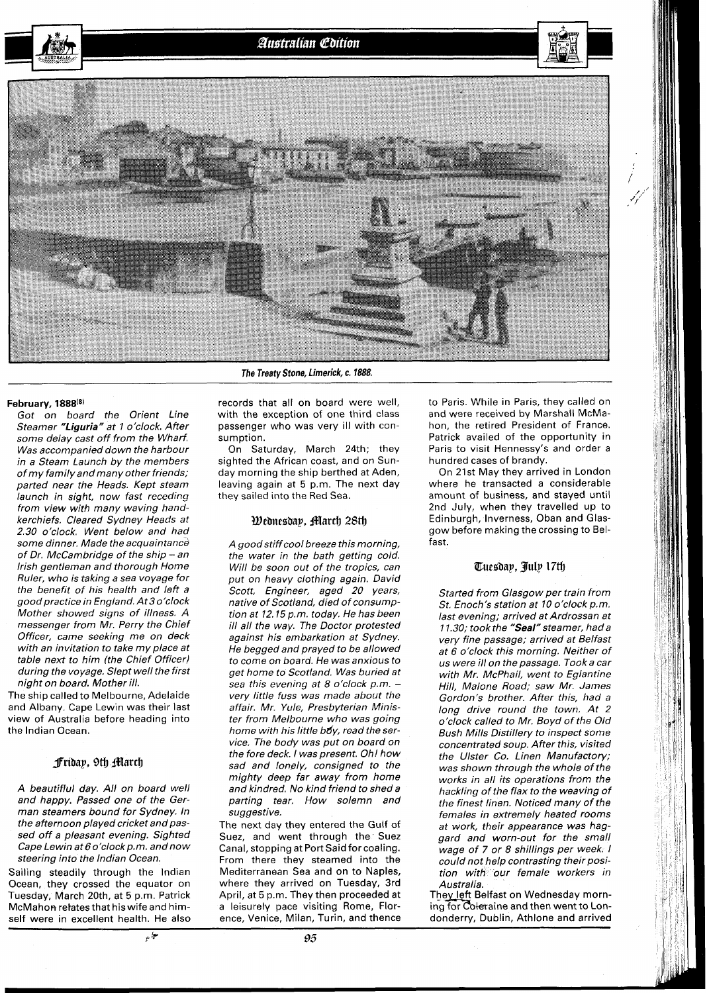Australian Edition

**The Treatv Stone, Limerick, c. 1888.** 

#### **February, 1888(8)**

Got on board the Orient Line Steamer "Liguria" at 1 o'clock. After some delay cast off from the Wharf. Was accompanied down the harbour in a Steam Launch by the members of my family and many other friends; parted near the Heads. Kept steam launch in sight, now fast receding from view with many waving handkerchiefs. Cleared Sydney Heads at 2.30 o'clock. Went below and had some dinner. Made the acquaintance of Dr. McCambridge of the ship - an Irish gentleman and thorough Home Ruler, who is taking a sea voyage for the benefit of his health and left a good practice in England. At3 o'clock Mother showed signs of illness. A messenger from Mr. Perry the Chief Officer, came seeking me on deck with an invitation to take my place at table next to him (the Chief Officer) during the voyage. Slept well the first night on board. Mother ill.

The ship called to Melbourne, Adelaide and Albany. Cape Lewin was their last view of Australia before heading into the lndian Ocean.

#### *f***ribap, 9th** *filarch*

A beautiflul day. All on board well and happy. Passed one of the German steamers bound for Sydney. In the afternoon played cricket and passed off a pleasant evening. Sighted Cape Lewin at 6 o'clock p.m. and now steering into the lndian Ocean.

Sailing steadily through the lndian Ocean, they crossed the equator on Tuesday, March 20th, at 5 p.m. Patrick McMahon refatesthat hiswife and himself were in excellent health. He also records that all on board were well, with the exception of one third class passenger who was very ill with consumption.

On Saturday, March 24th; they sighted the African coast, and on Sunday morning the ship berthed at Aden, leaving again at 5 p.m. The next day they sailed into the Red Sea.

#### *Wednesday, March 28th*

A good stiffcool breeze this morning, the water in the bath getting cold. Will be soon out of the tropics, can put on heavy clothing again. David Scott, Engineer, aged 20 years, native of Scotland, died of consumption at 12.15 p.m. today. He has been ill all the way. The Doctor protested against his embarkation at Sydney. He begged and prayed to be allowed to come on board. He was anxious to get home to Scotland. Was buried at sea this evening at 8 o'clock p.m. very little fuss was made about the affair. Mr. Yule, Presbyterian Minister from Melbourne who was going home with his little boy, read the service. The body was put on board on the fore deck. I was present. Oh! how sad and lonely, consigned to the mighty deep far away from home and kindred. No kind friend to shed a parting tear, How solemn and suggestive.

The next day they entered the Gulf of Suez, and went through the Suez Canal, stopping at Port Said for coaling. From there they steamed into the Mediterranean Sea and on to Naples, where they arrived on Tuesday, 3rd April, at 5 p.m. They then proceeded at a leisurely pace visiting Rome, Florence, Venice, Milan, Turin, and thence

to Paris. While in Paris, they called on and wore received by Marshall McMahon, the retired President of France. Patrick availed of the opportunity in Paris to visit Hennessy's and order a hundred cases of brandy.

On 21st May they arrived in London where he transacted a considerable amount of business, and stayed until 2nd July, when they travelled up to Edinburgh, Inverness, Oban and Glasgow before making the crossing to Belfast.

### Tuesdap, July 17th

Started from Glasgow per train from St. Enoch's station at 10 o'clock p.m. last evening; arrived at Ardrossan at 11.30; took the "Seal" steamer, had a very fine passage; arrived at Belfast at 6 o'clock this morning. Neither of us were ill on the passage. Tooka car with Mr. McPhail, went to Eglantine Hill, Malone Road; saw Mr. James Gordon's brother. After this, had a long drive round the town. At 2 o'clock called to Mr. Boyd of the Old Bush Mills Distillery to inspect some concentrated soup. After this, visited the Ulster Co. Linen Manufactory; was shown through the whole of the works in all its operations from the hackling of the flax to the weaving of the finest linen. Noticed many of the females in extremely heated rooms at work, their appearance was haggard and worn-out for the small wage of 7 or 8 shillings per week. I could not help contrasting their position with our female workers in Australia.

They left Belfast on Wednesday morning for Coleraine and then went to Londonderry, Dublin, Athlone and arrived

پ<br>پ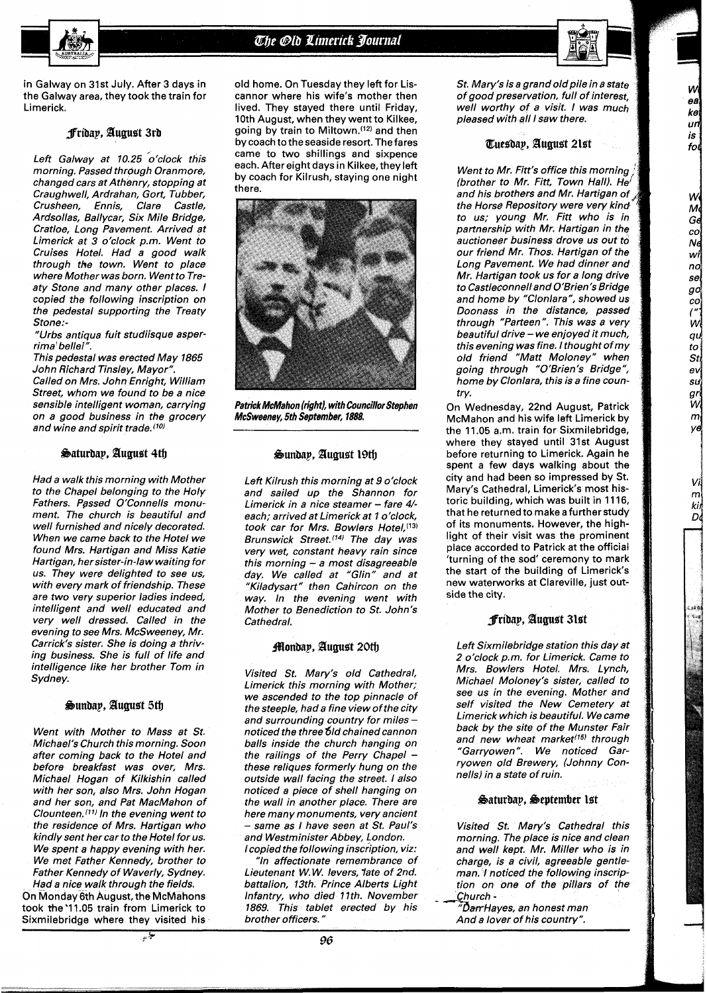# The Old Limerick Journal



W ea ke un is fol

W Мġ Gd co Nd wi nd se go co¦  $\overline{m}$ qu  $to$ Stl  $ev$ su gri W  $\boldsymbol{m}$ yΘ

> Vi  $m<sup>2</sup>$ kii D

in Galway on 31st July. After 3 days in the Galway area, they took the train for Limerick.

## **fribap, Buguet 3rb**

Left Galway at 10.25 o'clock this morning. Passed through Oranmore, changed cars at Athenry, stopping at Craughwell, Ardrahan, Gort, Tubber, Crusheen, Ennis, Clare Castle, Ardsollas, Ballycar, Six Mile Bridge, Cratloe, Long Pavement. Arrived at Limerick at 3 o'clock p.m. Went to Cruises Hotel. Had a good walk through the town. Went to place where Mother was born. Went to Treaty Stone and many other places. I copied the following inscription on the pedestal supporting the Treaty Stone:-

"Urbs antiqua fuit studiisque asperrima' bellei".

This pedestal was erected May 1865 John Richard Tinsley, Mayor". Called on Mrs. John Enright, William Street, whom we found to be a nice sensible intelligent woman, carrying on a good business in the grocery and wine and spirit trade. $(10)$ 

#### Saturday, August 4th

Had a walk this morning with Mother to the Chapel belonging to the Holy Fathers. Passed O'Connells monument. The church is beautiful and well furnished and nicely decorated. When we came back to the Hotel we found Mrs. Hartigan and Miss Katie Hartigan, her sister-in-law waiting for us. They were delighted to see us, with every mark of friendship. These are two very superior ladies indeed, intelligent and well educated and very well dressed. Called in the evening to see Mrs. McSweeney, Mr. Carrick's sister. She is doing a thriving business. She is full of life and intelligence like her brother Tom in Sydney.

#### **%unbap, duguet 5@**

Went with Mother to Mass at St. Michael's Church this morning. Soon after coming back to the Hotel and before breakfast was over, Mrs. Michael Hogan of Kilkishin called with her son, also Mrs. John Hogan and her son, and Pat MacMahon of Clounteen.<sup>(11)</sup> In the evening went to the residence of Mrs. Hartigan who kindly sent her car to the Hotel for us. We spent a happy evening with her. We met Father Kennedy, brother to Father Kennedy of Waverly, Sydney.

Had a nice walk through the fields. On Monday 6th August, the McMahons took the 11.05 train from Limerick to Sixmilebridge where they visited his

old home. On Tuesday they left for Liscannor where his wife's mother then lived. They stayed there until Friday, 10th August, when they went to Kilkee, going by train to Miltown.(12) and then by coach to the seaside resort. The fares came to two shillings and sixpence each. After eight days in Kilkee, they left by coach for Kilrush, staying one night there.



**Patrick McMahon (right), with Councillor Stephen McSweeney, 5th September, 1888** 

# $\mathfrak{G}$ undap, August 19th

Left Kilrush this morning at 9 o'clock and sailed up the Shannon for Limerick in a nice steamer - fare 4/each; arrived at Limerick at 1 o'clock, took car for Mrs. Bowlers Hotel, (13) Brunswick Street.<sup>(14)</sup> The day was very wet, constant heavy rain since this morning  $-$  a most disagreeable day. We called at "Glin" and at "Kiladysart" then Cahircon on the way. In the evening went with Mother to Benediction to St. John's Cathedral.

#### **Monday, August 20th**

Visited St. Mary's old Cathedral, Limerick this morning with Mother; we ascended to the top pinnacle of the steeple, had a fine view of the city and surrounding country for miles noticed the three 61d chained cannon balls inside the church hanging on<br>the railings of the Perry Chapel these reliques formerly hung on the outside wall facing the street. I also noticed a piece of shell hanging on the wall in another place. There are here many monuments, very ancient - same as I have seen at St. Paul's and Westminister Abbey, London. I copied the following inscription, viz:

"In affectionate remembrance of Lieutenant W.W. levers, late of 2nd. battalion, 13th. Prince Alberts Light Infantry, who died 77th. November 1869. This tablet erected by his brother officers."

St. Mary's is a grand old pile in a state of good preservation, full of interest, well worthy of a visit. I was much pleased with all I saw there.

#### **Eueabap, duguet 2let**

Went to Mr. Fitt's office this morning (brother to Mr. Fitt, Town Hall). He' and his brothers and Mr. Hartigan of the Horse Repository were very kind. to us; young Mr. Fitt who is in partnership with Mr. Hartigan in the auctioneer business drove us out to our friend Mr. Thos. Hartigan of the Long Pavement. We had dinner and Mr. Hartigan took us for a long drive to Castleconnell and O'Brien's Bridge and home by "Clonlara", showed us Doonass in the distance, passed through "Parteen". This was a very beautiful drive - we enjoyed it much, this evening was fine. I thought of my old friend "Matt Moloney" when going through "O'Brien's Bridge", home by Clonlara, this is a fine country.

On Wednesday, 22nd August, Patrick McMahon and his wife left Limerick by the 11.05 a,m. train for Sixmilebridge, where they stayed until 31st August before returning to Limerick. Again he spent a few days walking about the city and had been so impressed by St. Mary's Cathedral, Limerick's most historic building, which was built in 11 16, that he returned to make a further study of its monuments. However, the highlight of their visit was the prominent place accorded to Patrick at the official 'turning of the sod' ceremony to mark the start of the building of Limerick's new waterworks at Clareville, just outside the city.

#### **fribap, Bugust 31et**

Left Sixmilebridge station this day at 2 o'clock p.m. for Limerick. Came to Mrs. Bowlers Hotel. Mrs. Lynch, Michael Moloney's sister, called to see us in the evening. Mother and self visited the New Cemetery at Limerick which is beautiful. We came back by the site of the Munster Fair and new wheat market<sup>(15)</sup> through "Garryowen". We noticed Garryowen old Brewery, (Johnny Connells) in a state of ruin.

#### **gaturbap, Beptember let**

Visited St. Mary's Cathedral this morning. The place is nice and clean and well kept. Mr. Miller who is in charge, is a civil, agreeable gentleman. I noticed the following inscription on one of the pillars of the Church -

 $\vec{\bm{\mathcal{D}}}$ arrHayes, an honest man And a lover of his country".

96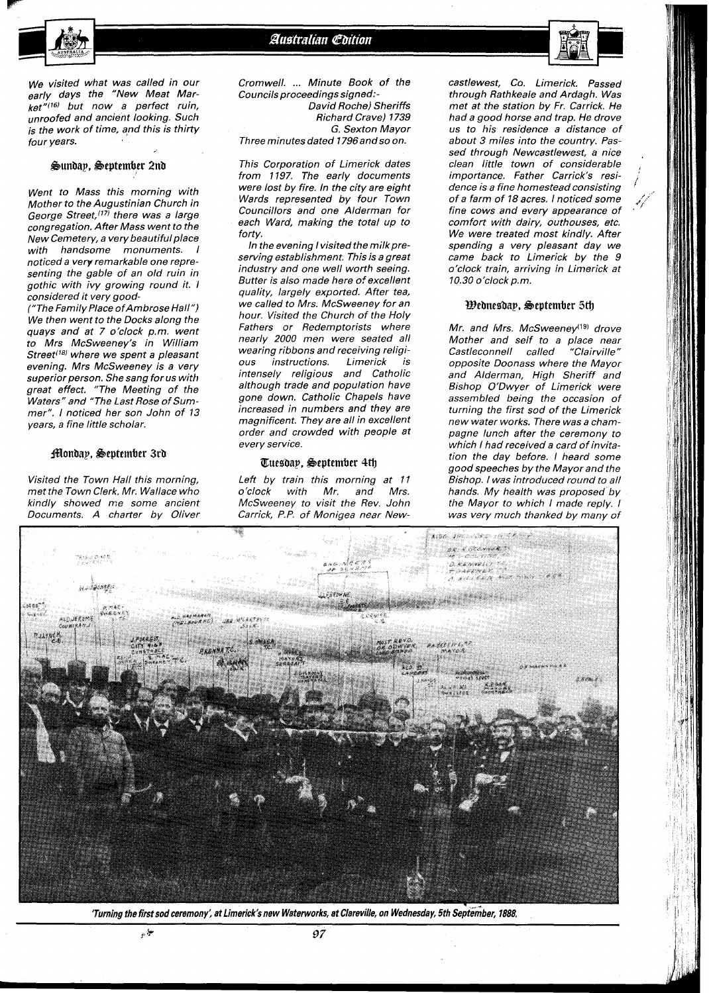



We visited what was called in our early days the "New Meat Mar $k$ et"(16) but now a perfect ruin, unroofed and ancient looking. Such is the work of time, and this is thirty four years.

#### **Ounbap, Oeptember 2nb**

Went to Mass this morning with Mother to the Augustinian Church in George Street,<sup>(17)</sup> there was a large congregation. After Mass went to the New Cemetery, a very beautiful place with handsome monuments. I noticed a very remarkable one representing the gable of an old ruin in gothic with ivy growing round it. **<sup>1</sup>** considered it very good-

("The Family Place ofAmbrose Hall") We then went to the Docks along the quays and at 7 o'clock p.m. went to Mrs McSweeney's in William Street<sup>(18)</sup> where we spent a pleasant evening. Mrs McSweeney is a very superior person. She sang for us with great effect. "The Meeting of the Waters" and "The Last Rose of Summer". I noticed her son John of **13**  years, a fine little scholar.

#### **Monday, September 3rd**

Visited the Town Hall this morning, met the Town Clerk, Mr. Wallace who kindly showed me some ancient Documents. A charter by Oliver

Cromwell. ... Minute Book of the Councils proceedings signed:- David Roche) Sheriffs Richard Crave) 1739 G. Sexton Mayor Three minutes dated 7796andso on.

This Corporation of Limerick dates from 1197. The early documents were lost by fire. In the city are eight Wards represented by four Town Councillors and one Alderman for each Ward, making the total up to forty.

In the evening I visited the milk preserving establishment. This is a great industry and one well worth seeing. Butter is also made here of excellent quality, largely exported. After tea, we called to Mrs. McSweeney for an hour. Visited the Church of the Holy Fathers or Redemptorists where nearly **2000** men were seated all wearing ribbons and receiving religious instructions. Limerick is intensely religious and Catholic although trade and population have gone down. Catholic Chapels have increased in numbers and they are magnificent. They are all in excellent order and crowded with people at every service.

#### **aueebap, Oeptember** 4tl~

Left by train this morning at **I1**   $o$ 'clock with Mr. and McSweeney to visit the Rev. John Carrick, P.P. of Monigea near Newcastlewest, Co. Limerick. Passed through Rathkeale and Ardagh. Was met at the station by Fr. Carrick. He had a good horse and trap. He drove us to his residence a distance of about **3** miles into the country. Passed through Newcastlewest, a nice clean little town of considerable importance. Father Carrick's residence is a fine homestead consisting of a farm of **18** acres. I noticed some fine cows and every appearance of comfort with dairy, outhouses, etc. We were treated most kindly. After spending a very pleasant day we came back to Limerick by the 9 o'clock train, arriving in Limerick at **10.30** o'clock p.m.

#### **Bebneebap, Oeptember** *5@*

Mr. and Mrs. McSweenev<sup>(19)</sup> drove Mother and self to a place near<br>Castleconnell called "Clairville" Castleconnell called opposite Doonass where the Mayor and Alderman, High Sheriff and Bishop O'Dwyer of Limerick were assembled being the occasion of turning the first sod of the Limerick new water works. There was a champagne lunch after the ceremony to which I had received a card of invitation the day before. I heard some good speeches by the Mayor and the Bishop. I was introduced round to all hands. My health was proposed by the Mayor to which I made reply. I was very much thanked by many of



'Turning the first sod ceremony', at Limerick's new Waterworks, at Clareville, on Wednesday, 5th September, 1888.

نيا.<br>حياته

97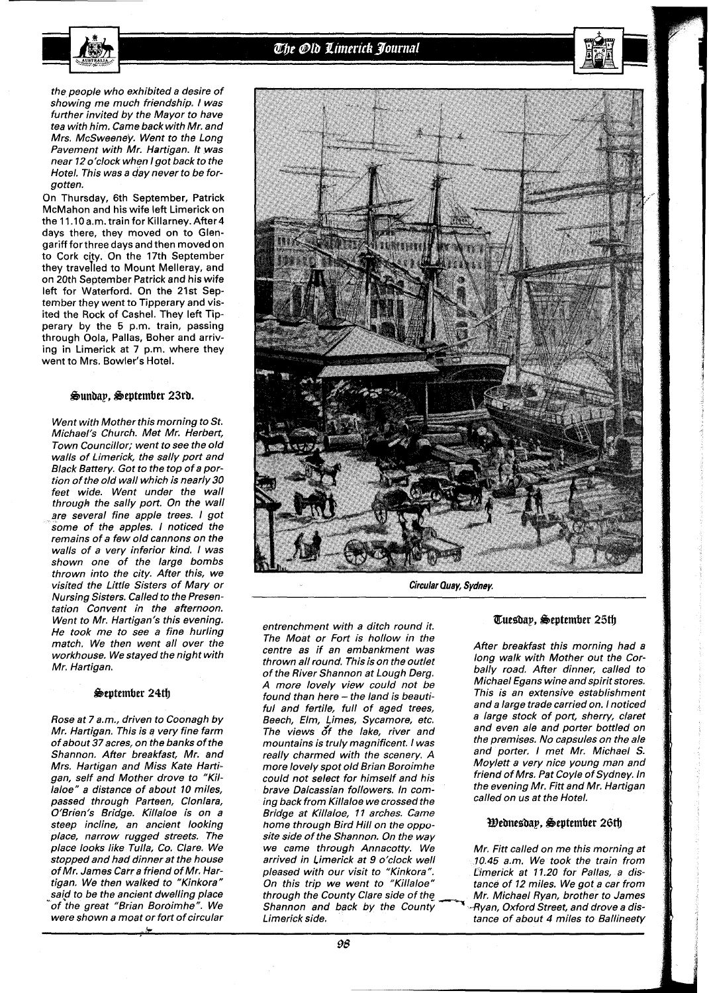

the people who exhibited a desire of showing me much friendship. I was further invited by the Mayor to have tea with him. Came back with Mr. and Mrs. McSweeney. Went to the Long Pavement with Mr. Hartigan. It was near 12 o'clock when I got back to the Hotel. This was a day never to be forgotten.

On Thursday, 6th September, Patrick McMahon and his wife left Limerick on the 11.10 a.m. train for Killarney. After 4 days there, they moved on to Glengariff forthree days and then moved on to Cork city. On the 17th September they travejled to Mount Melleray, and on 20th September Patrick and his wife left for Waterford. On the 21st September they went to Tipperary and visited the Rock of Cashel. They left Tipperary by the 5 p.m. train, passing through Oola, Pallas, Boher and arriving in Limerick at 7 p.m. where they went to Mrs. Bowler's Hotel.

#### Sunday, September 23rd.

Went with Mother this morning to St. Michael's Church. Met Mr. Herbert, Town Councillor; went to see the old walls of Limerick, the sally port and Black Battery. Got to the top of a portion of the old wall which is nearly 30 feet wide. Went under the wall through the sally port. On the wall are several fine apple trees. I got some of the apples. I noticed the remains of a few old cannons on the walls of a very inferior kind. I was shown one of the large bombs thrown into the city. After this, we visited the Little Sisters of Mary or Nursing Sisters. Called to the Presentation Convent in the afternoon. Went to Mr. Hartigan's this evening. He took me to see a fine hurling match. We then went all over the workhouse. We stayed the night with Mr. Hartigan.

#### September 24th

Rose at 7 a.m., driven to Coonagh by Mr. Hartigan. This is a very fine farm of about 37acres, on the banks of the Shannon. After breakfast, Mr. and Mrs. Hartigan and Miss Kate Hartigan, self and Mother drove to "Killaloe" a distance of about 10 miles, passed through Parteen, Clonlara, O'Brien's Bridge. Killaloe is on a steep incline, an ancient looking place, narrow rugged streets. The place looks like Tulla, Co. Clare. We stopped and had dinner at the house of Mr. James Carr a friend of Mr. Hartigan. We then walked to "Kinkora" said to be the ancient dwelling place "of the great "Brian Boroimhe". We were shown a moat or fort of circular



**Circular Quay, Sydney.** 

entrenchment with a ditch round it. The Moat or Fort is hollow in the centre as if an embankment was thrown all round. This is on the outlet of the River Shannon at Lough Derg. A more lovely view could not be found than here - the land is beautiful and fertile, full of aged trees, Beech, Elm, Limes, Sycamore, etc. The views of the lake, river and mountains is truly magnificent, I was really charmed with the scenery. A more lovely spot old Brian Boroimhe could not select for himself and his brave Dalcassian followers. In coming back from Killaloe we crossed the Bridge at Killaloe, 11 arches. Came home through Bird Hill on the opposite side of the Shannon. On the way we came through Annacotty. We arrived in Limerick at 9 o'clock well pleased with our visit to "Kinkora". On this trip we went to "Killaloe" through the County Clare side of the Shannon and back by the County Limerick side.

#### Tuesday. September 25th

After breakfast this morning had a long walk with Mother out the Corbally road. After dinner, called to Michael Egans wine and spirit stores. This is an extensive establishment and a large trade carried on. I noticed a large stock of port, sherry, claret and even ale and porter bottled on the premises. No capsules on the ale and porter, I met Mr. Michael S. Moylett a very nice young man and friend of Mrs. Pat Coyle of Sydney. In the evening Mr. Fitt and Mr. Hartigan called on us at the Hotel.

#### Wednesday, September 26th

Mr. Fitt called on me this morning at 10.45 a.m. We took the train from Limerick at 11.20 for Pallas, a distance of 12 miles. We got a car from Mr. Michael Ryan, brother to James ayan, Oxford Street, and drove a distance of about 4 miles to Ballineety